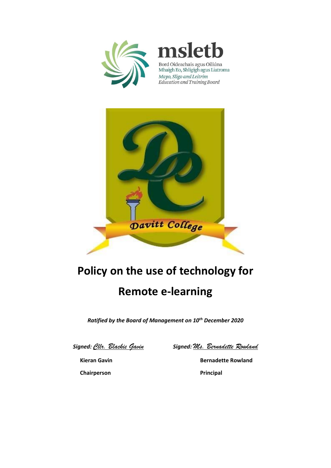



Bord Oideachais agus Oiliúna Mhaigh Eo, Shligigh agus Liatroma Mayo, Sligo and Leitrim Education and Training Board



## **Policy on the use of technology for Remote e-learning**

*Ratified by the Board of Management on 10th December 2020*

*Signed: Cllr. Blackie Gavin Signed: Ms. Bernadette Rowland*

**Kieran Gavin Bernadette Rowland Chairperson Principal**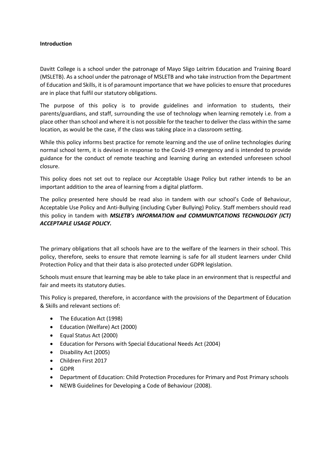## **Introduction**

Davitt College is a school under the patronage of Mayo Sligo Leitrim Education and Training Board (MSLETB). As a school under the patronage of MSLETB and who take instruction from the Department of Education and Skills, it is of paramount importance that we have policies to ensure that procedures are in place that fulfil our statutory obligations.

The purpose of this policy is to provide guidelines and information to students, their parents/guardians, and staff, surrounding the use of technology when learning remotely i.e. from a place other than school and where it is not possible for the teacher to deliver the class within the same location, as would be the case, if the class was taking place in a classroom setting.

While this policy informs best practice for remote learning and the use of online technologies during normal school term, it is devised in response to the Covid-19 emergency and is intended to provide guidance for the conduct of remote teaching and learning during an extended unforeseen school closure.

This policy does not set out to replace our Acceptable Usage Policy but rather intends to be an important addition to the area of learning from a digital platform.

The policy presented here should be read also in tandem with our school's Code of Behaviour, Acceptable Use Policy and Anti-Bullying (including Cyber Bullying) Policy. Staff members should read this policy in tandem with *MSLETB's INFORMATION and COMMUNTCATIONS TECHNOLOGY (ICT) ACCEPTAPLE USAGE POLICY.*

The primary obligations that all schools have are to the welfare of the learners in their school. This policy, therefore, seeks to ensure that remote learning is safe for all student learners under Child Protection Policy and that their data is also protected under GDPR legislation.

Schools must ensure that learning may be able to take place in an environment that is respectful and fair and meets its statutory duties.

This Policy is prepared, therefore, in accordance with the provisions of the Department of Education & Skills and relevant sections of:

- The Education Act (1998)
- Education (Welfare) Act (2000)
- Equal Status Act (2000)
- Education for Persons with Special Educational Needs Act (2004)
- Disability Act (2005)
- Children First 2017
- GDPR
- Department of Education: Child Protection Procedures for Primary and Post Primary schools
- NEWB Guidelines for Developing a Code of Behaviour (2008).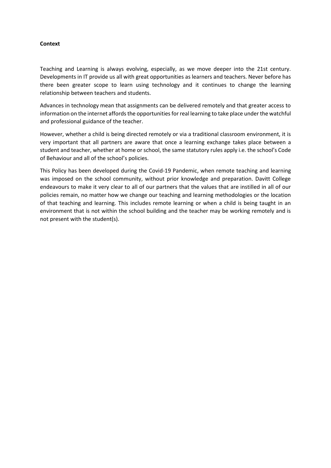## **Context**

Teaching and Learning is always evolving, especially, as we move deeper into the 21st century. Developments in IT provide us all with great opportunities as learners and teachers. Never before has there been greater scope to learn using technology and it continues to change the learning relationship between teachers and students.

Advances in technology mean that assignments can be delivered remotely and that greater access to information on the internet affords the opportunities for real learning to take place under the watchful and professional guidance of the teacher.

However, whether a child is being directed remotely or via a traditional classroom environment, it is very important that all partners are aware that once a learning exchange takes place between a student and teacher, whether at home or school, the same statutory rules apply i.e. the school's Code of Behaviour and all of the school's policies.

This Policy has been developed during the Covid-19 Pandemic, when remote teaching and learning was imposed on the school community, without prior knowledge and preparation. Davitt College endeavours to make it very clear to all of our partners that the values that are instilled in all of our policies remain, no matter how we change our teaching and learning methodologies or the location of that teaching and learning. This includes remote learning or when a child is being taught in an environment that is not within the school building and the teacher may be working remotely and is not present with the student(s).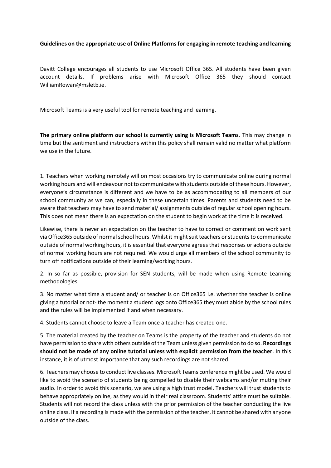## **Guidelines on the appropriate use of Online Platforms for engaging in remote teaching and learning**

Davitt College encourages all students to use Microsoft Office 365. All students have been given account details. If problems arise with Microsoft Office 365 they should contact WilliamRowan@msletb.ie.

Microsoft Teams is a very useful tool for remote teaching and learning.

**The primary online platform our school is currently using is Microsoft Teams**. This may change in time but the sentiment and instructions within this policy shall remain valid no matter what platform we use in the future.

1. Teachers when working remotely will on most occasions try to communicate online during normal working hours and will endeavour not to communicate with students outside of these hours. However, everyone's circumstance is different and we have to be as accommodating to all members of our school community as we can, especially in these uncertain times. Parents and students need to be aware that teachers may have to send material/ assignments outside of regular school opening hours. This does not mean there is an expectation on the student to begin work at the time it is received.

Likewise, there is never an expectation on the teacher to have to correct or comment on work sent via Office365 outside of normal school hours. Whilst it might suit teachers or students to communicate outside of normal working hours, it is essential that everyone agrees that responses or actions outside of normal working hours are not required. We would urge all members of the school community to turn off notifications outside of their learning/working hours.

2. In so far as possible, provision for SEN students, will be made when using Remote Learning methodologies.

3. No matter what time a student and/ or teacher is on Office365 i.e. whether the teacher is online giving a tutorial or not- the moment a student logs onto Office365 they must abide by the school rules and the rules will be implemented if and when necessary.

4. Students cannot choose to leave a Team once a teacher has created one.

5. The material created by the teacher on Teams is the property of the teacher and students do not have permission to share with others outside of the Team unless given permission to do so. **Recordings should not be made of any online tutorial unless with explicit permission from the teacher**. In this instance, it is of utmost importance that any such recordings are not shared.

6. Teachers may choose to conduct live classes. Microsoft Teams conference might be used. We would like to avoid the scenario of students being compelled to disable their webcams and/or muting their audio. In order to avoid this scenario, we are using a high trust model. Teachers will trust students to behave appropriately online, as they would in their real classroom. Students' attire must be suitable. Students will not record the class unless with the prior permission of the teacher conducting the live online class. If a recording is made with the permission of the teacher, it cannot be shared with anyone outside of the class.